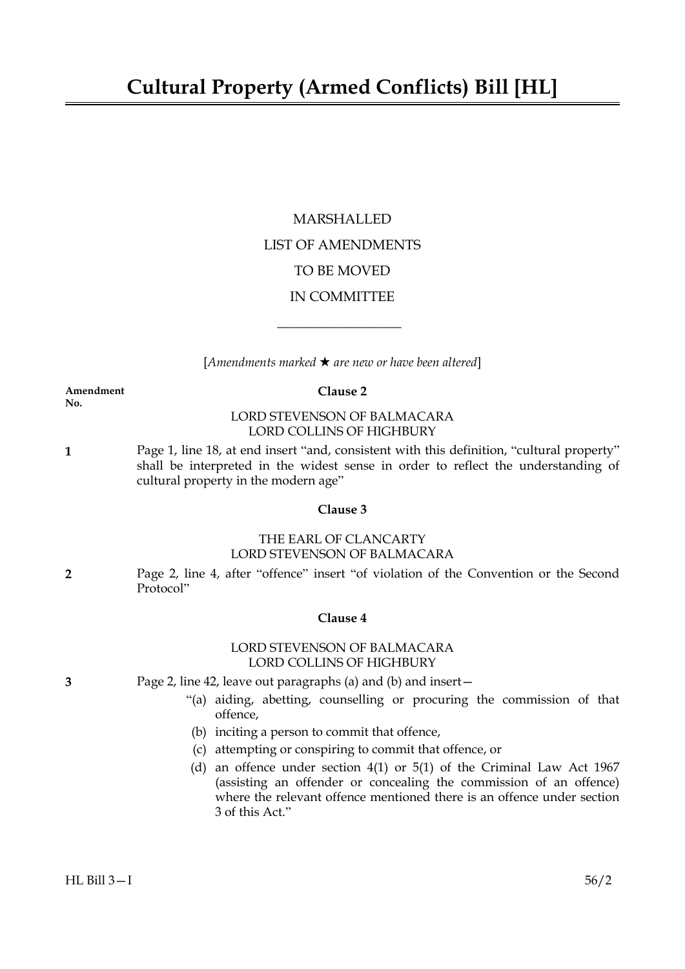# MARSHALLED LIST OF AMENDMENTS TO BE MOVED IN COMMITTEE

[*Amendments marked* \* *are new or have been altered*]

 $\overline{\phantom{a}}$  , where  $\overline{\phantom{a}}$ 

# **Amendment Clause 2**

**No.**

# LORD STEVENSON OF BALMACARA LORD COLLINS OF HIGHBURY

**1** Page 1, line 18, at end insert "and, consistent with this definition, "cultural property" shall be interpreted in the widest sense in order to reflect the understanding of cultural property in the modern age"

# **Clause 3**

# THE EARL OF CLANCARTY LORD STEVENSON OF BALMACARA

**2** Page 2, line 4, after "offence" insert "of violation of the Convention or the Second Protocol"

# **Clause 4**

# LORD STEVENSON OF BALMACARA LORD COLLINS OF HIGHBURY

- **3** Page 2, line 42, leave out paragraphs (a) and (b) and insert—
	- "(a) aiding, abetting, counselling or procuring the commission of that offence,
	- (b) inciting a person to commit that offence,
	- (c) attempting or conspiring to commit that offence, or
	- (d) an offence under section 4(1) or 5(1) of the Criminal Law Act 1967 (assisting an offender or concealing the commission of an offence) where the relevant offence mentioned there is an offence under section 3 of this Act."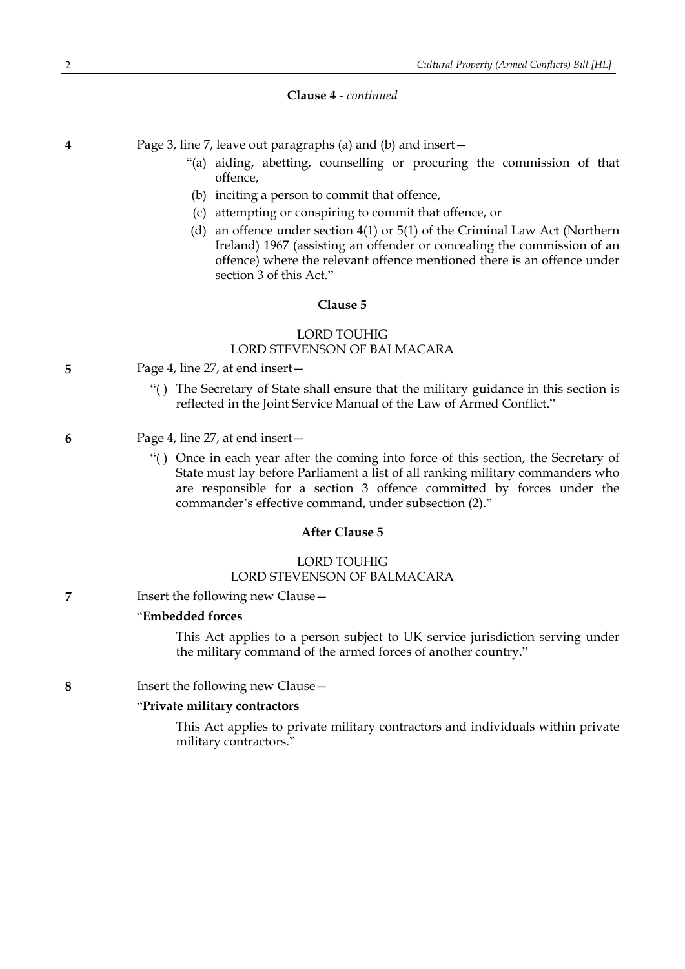#### **Clause 4** *- continued*

**4** Page 3, line 7, leave out paragraphs (a) and (b) and insert—

- "(a) aiding, abetting, counselling or procuring the commission of that offence,
- (b) inciting a person to commit that offence,
- (c) attempting or conspiring to commit that offence, or
- (d) an offence under section 4(1) or 5(1) of the Criminal Law Act (Northern Ireland) 1967 (assisting an offender or concealing the commission of an offence) where the relevant offence mentioned there is an offence under section 3 of this Act."

#### **Clause 5**

# LORD TOUHIG

# LORD STEVENSON OF BALMACARA

- **5** Page 4, line 27, at end insert—
	- "( ) The Secretary of State shall ensure that the military guidance in this section is reflected in the Joint Service Manual of the Law of Armed Conflict."
- **6** Page 4, line 27, at end insert—
	- "( ) Once in each year after the coming into force of this section, the Secretary of State must lay before Parliament a list of all ranking military commanders who are responsible for a section 3 offence committed by forces under the commander's effective command, under subsection (2)."

#### **After Clause 5**

# LORD TOUHIG LORD STEVENSON OF BALMACARA

**7** Insert the following new Clause—

#### "**Embedded forces**

This Act applies to a person subject to UK service jurisdiction serving under the military command of the armed forces of another country."

**8** Insert the following new Clause—

#### "**Private military contractors**

This Act applies to private military contractors and individuals within private military contractors."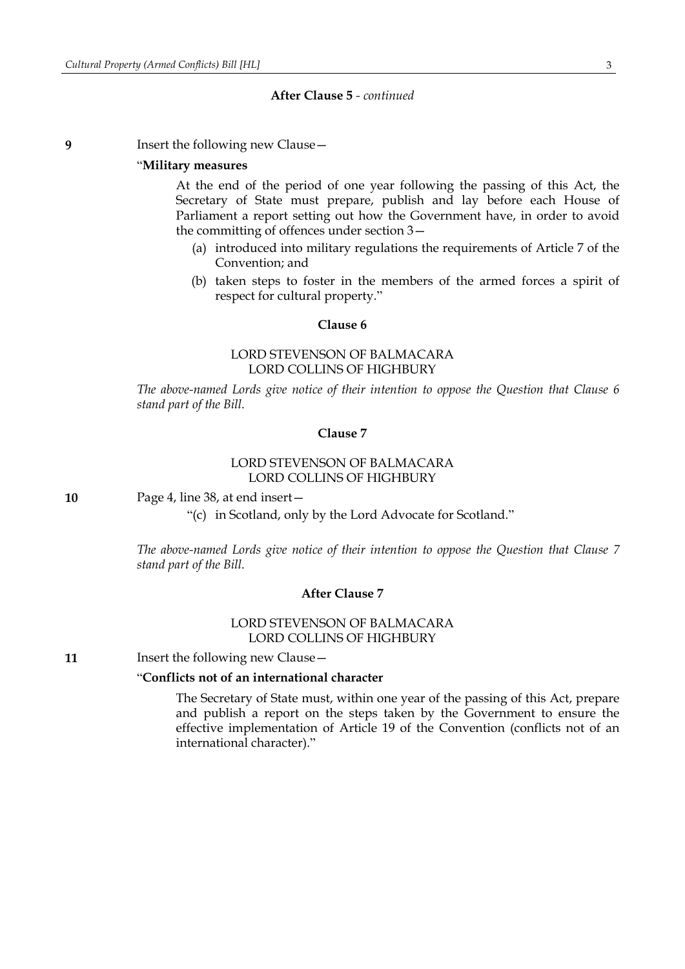#### **After Clause 5** *- continued*

**9** Insert the following new Clause—

#### "**Military measures**

At the end of the period of one year following the passing of this Act, the Secretary of State must prepare, publish and lay before each House of Parliament a report setting out how the Government have, in order to avoid the committing of offences under section 3—

- (a) introduced into military regulations the requirements of Article 7 of the Convention; and
- (b) taken steps to foster in the members of the armed forces a spirit of respect for cultural property."

#### **Clause 6**

## LORD STEVENSON OF BALMACARA LORD COLLINS OF HIGHBURY

*The above-named Lords give notice of their intention to oppose the Question that Clause 6 stand part of the Bill.*

# **Clause 7**

# LORD STEVENSON OF BALMACARA LORD COLLINS OF HIGHBURY

**10** Page 4, line 38, at end insert—

"(c) in Scotland, only by the Lord Advocate for Scotland."

*The above-named Lords give notice of their intention to oppose the Question that Clause 7 stand part of the Bill.*

#### **After Clause 7**

# LORD STEVENSON OF BALMACARA LORD COLLINS OF HIGHBURY

**11** Insert the following new Clause –

# "**Conflicts not of an international character**

The Secretary of State must, within one year of the passing of this Act, prepare and publish a report on the steps taken by the Government to ensure the effective implementation of Article 19 of the Convention (conflicts not of an international character)."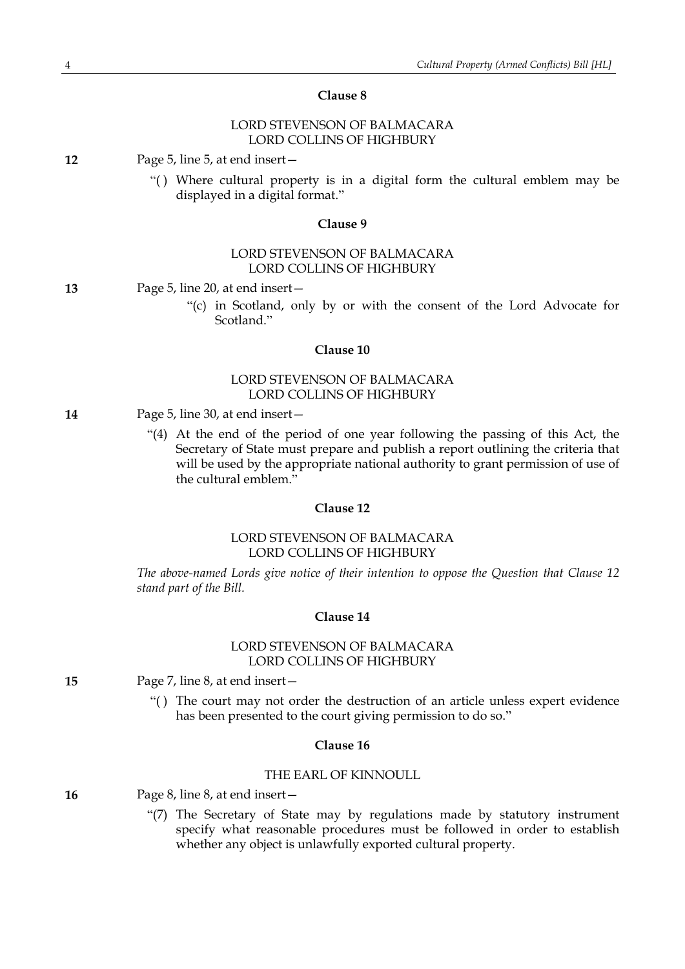# LORD STEVENSON OF BALMACARA LORD COLLINS OF HIGHBURY

**12** Page 5, line 5, at end insert—

"( ) Where cultural property is in a digital form the cultural emblem may be displayed in a digital format."

#### **Clause 9**

# LORD STEVENSON OF BALMACARA LORD COLLINS OF HIGHBURY

**13** Page 5, line 20, at end insert—

"(c) in Scotland, only by or with the consent of the Lord Advocate for Scotland."

#### **Clause 10**

# LORD STEVENSON OF BALMACARA LORD COLLINS OF HIGHBURY

- **14** Page 5, line 30, at end insert—
	- "(4) At the end of the period of one year following the passing of this Act, the Secretary of State must prepare and publish a report outlining the criteria that will be used by the appropriate national authority to grant permission of use of the cultural emblem."

#### **Clause 12**

#### LORD STEVENSON OF BALMACARA LORD COLLINS OF HIGHBURY

*The above-named Lords give notice of their intention to oppose the Question that Clause 12 stand part of the Bill.*

#### **Clause 14**

# LORD STEVENSON OF BALMACARA LORD COLLINS OF HIGHBURY

- **15** Page 7, line 8, at end insert—
	- "( ) The court may not order the destruction of an article unless expert evidence has been presented to the court giving permission to do so."

#### **Clause 16**

# THE EARL OF KINNOULL

**16** Page 8, line 8, at end insert—

"(7) The Secretary of State may by regulations made by statutory instrument specify what reasonable procedures must be followed in order to establish whether any object is unlawfully exported cultural property.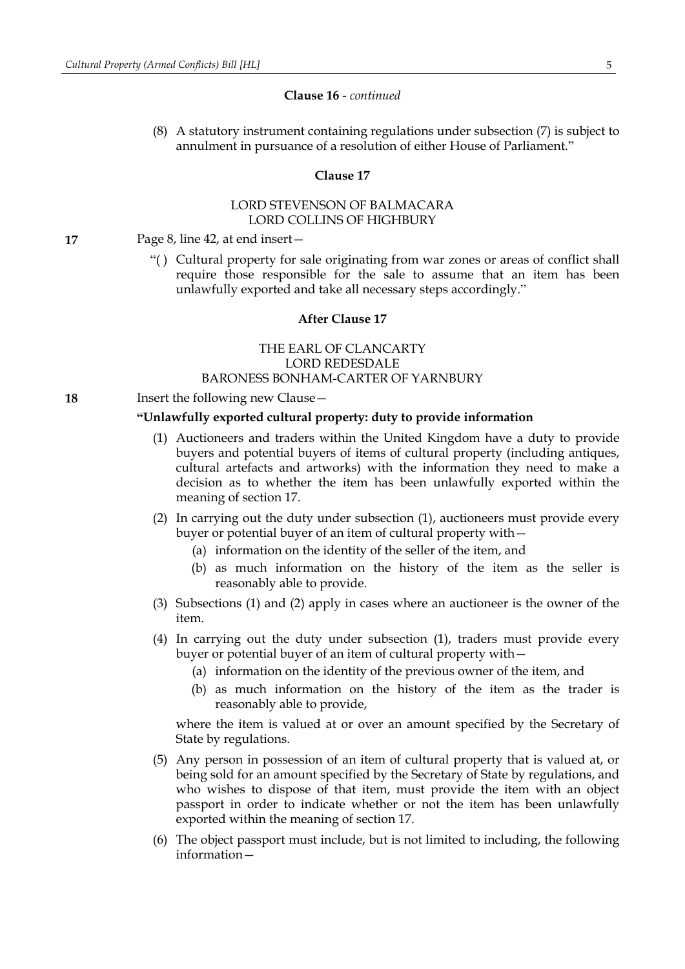#### **Clause 16** *- continued*

(8) A statutory instrument containing regulations under subsection (7) is subject to annulment in pursuance of a resolution of either House of Parliament."

#### **Clause 17**

# LORD STEVENSON OF BALMACARA LORD COLLINS OF HIGHBURY

**17** Page 8, line 42, at end insert—

"( ) Cultural property for sale originating from war zones or areas of conflict shall require those responsible for the sale to assume that an item has been unlawfully exported and take all necessary steps accordingly."

#### **After Clause 17**

# THE EARL OF CLANCARTY LORD REDESDALE BARONESS BONHAM-CARTER OF YARNBURY

**18** Insert the following new Clause—

#### **"Unlawfully exported cultural property: duty to provide information**

- (1) Auctioneers and traders within the United Kingdom have a duty to provide buyers and potential buyers of items of cultural property (including antiques, cultural artefacts and artworks) with the information they need to make a decision as to whether the item has been unlawfully exported within the meaning of section 17.
- (2) In carrying out the duty under subsection (1), auctioneers must provide every buyer or potential buyer of an item of cultural property with—
	- (a) information on the identity of the seller of the item, and
	- (b) as much information on the history of the item as the seller is reasonably able to provide.
- (3) Subsections (1) and (2) apply in cases where an auctioneer is the owner of the item.
- (4) In carrying out the duty under subsection (1), traders must provide every buyer or potential buyer of an item of cultural property with—
	- (a) information on the identity of the previous owner of the item, and
	- (b) as much information on the history of the item as the trader is reasonably able to provide,

where the item is valued at or over an amount specified by the Secretary of State by regulations.

- (5) Any person in possession of an item of cultural property that is valued at, or being sold for an amount specified by the Secretary of State by regulations, and who wishes to dispose of that item, must provide the item with an object passport in order to indicate whether or not the item has been unlawfully exported within the meaning of section 17.
- (6) The object passport must include, but is not limited to including, the following information—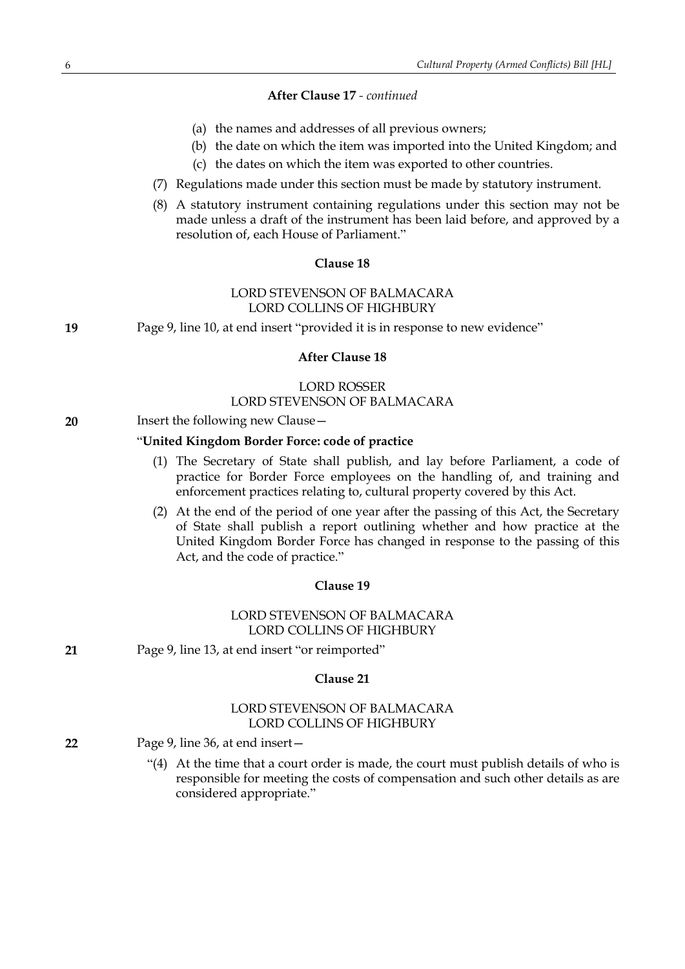# **After Clause 17** *- continued*

- (a) the names and addresses of all previous owners;
- (b) the date on which the item was imported into the United Kingdom; and
- (c) the dates on which the item was exported to other countries.
- (7) Regulations made under this section must be made by statutory instrument.
- (8) A statutory instrument containing regulations under this section may not be made unless a draft of the instrument has been laid before, and approved by a resolution of, each House of Parliament."

#### **Clause 18**

#### LORD STEVENSON OF BALMACARA LORD COLLINS OF HIGHBURY

**19** Page 9, line 10, at end insert "provided it is in response to new evidence"

#### **After Clause 18**

#### LORD ROSSER LORD STEVENSON OF BALMACARA

**20** Insert the following new Clause—

#### "**United Kingdom Border Force: code of practice**

- (1) The Secretary of State shall publish, and lay before Parliament, a code of practice for Border Force employees on the handling of, and training and enforcement practices relating to, cultural property covered by this Act.
- (2) At the end of the period of one year after the passing of this Act, the Secretary of State shall publish a report outlining whether and how practice at the United Kingdom Border Force has changed in response to the passing of this Act, and the code of practice."

## **Clause 19**

# LORD STEVENSON OF BALMACARA LORD COLLINS OF HIGHBURY

**21** Page 9, line 13, at end insert "or reimported"

# **Clause 21**

#### LORD STEVENSON OF BALMACARA LORD COLLINS OF HIGHBURY

- **22** Page 9, line 36, at end insert—
	- "(4) At the time that a court order is made, the court must publish details of who is responsible for meeting the costs of compensation and such other details as are considered appropriate."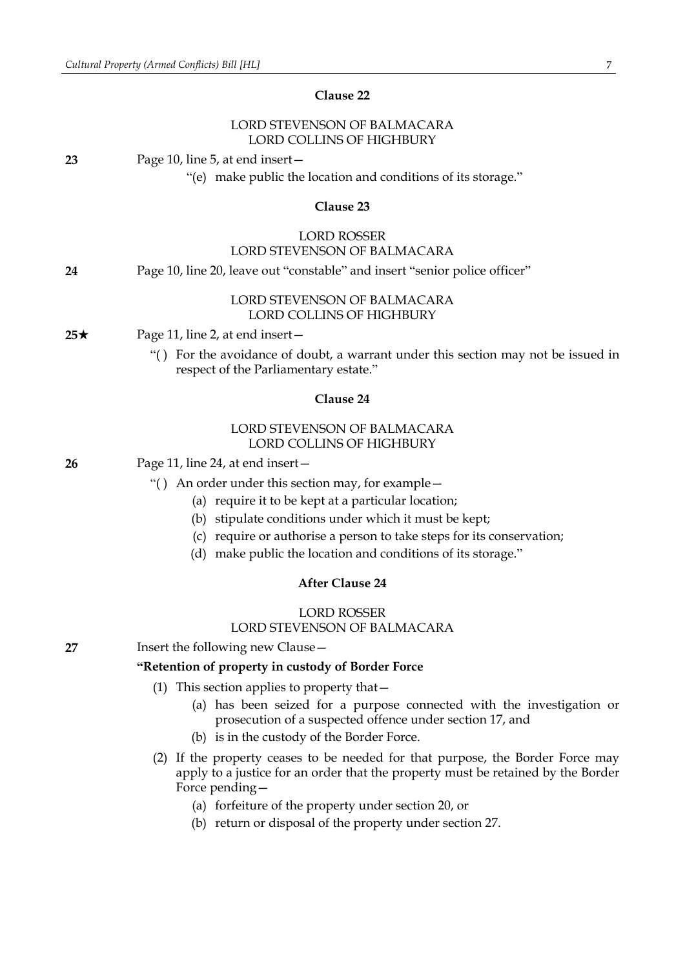# LORD STEVENSON OF BALMACARA LORD COLLINS OF HIGHBURY **23** Page 10, line 5, at end insert— "(e) make public the location and conditions of its storage." **Clause 23** LORD ROSSER LORD STEVENSON OF BALMACARA **24** Page 10, line 20, leave out "constable" and insert "senior police officer" LORD STEVENSON OF BALMACARA LORD COLLINS OF HIGHBURY  $25\star$  Page 11, line 2, at end insert – "( ) For the avoidance of doubt, a warrant under this section may not be issued in respect of the Parliamentary estate." **Clause 24** LORD STEVENSON OF BALMACARA LORD COLLINS OF HIGHBURY **26** Page 11, line 24, at end insert— "( ) An order under this section may, for example— (a) require it to be kept at a particular location; (b) stipulate conditions under which it must be kept; (c) require or authorise a person to take steps for its conservation; (d) make public the location and conditions of its storage." **After Clause 24** LORD ROSSER LORD STEVENSON OF BALMACARA **27** Insert the following new Clause— **"Retention of property in custody of Border Force** (1) This section applies to property that— (a) has been seized for a purpose connected with the investigation or prosecution of a suspected offence under section 17, and (b) is in the custody of the Border Force. (2) If the property ceases to be needed for that purpose, the Border Force may apply to a justice for an order that the property must be retained by the Border Force pending— (a) forfeiture of the property under section 20, or (b) return or disposal of the property under section 27.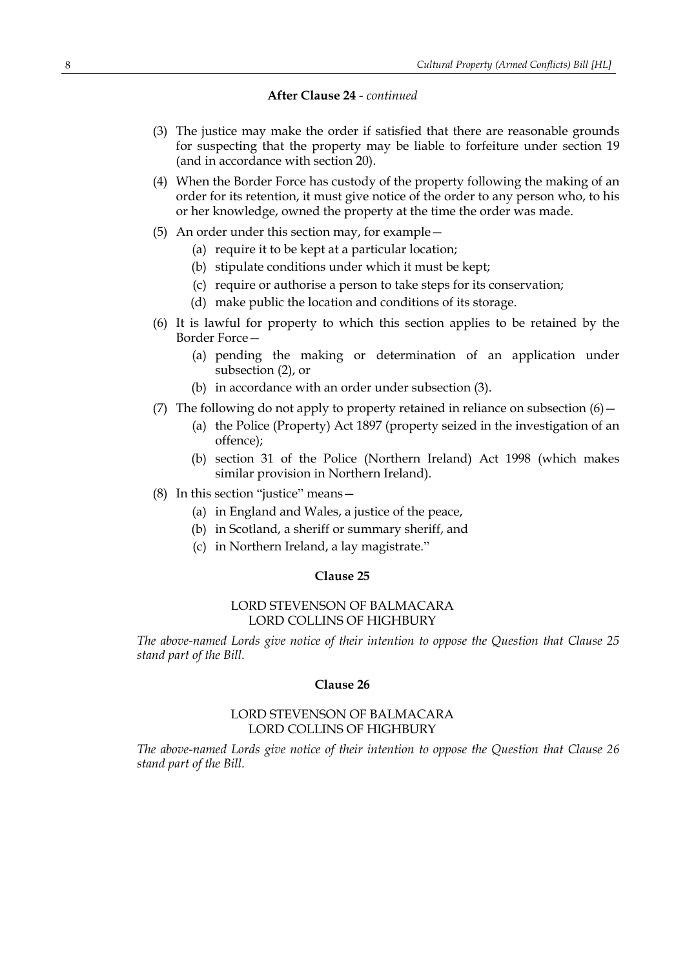## **After Clause 24** *- continued*

- (3) The justice may make the order if satisfied that there are reasonable grounds for suspecting that the property may be liable to forfeiture under section 19 (and in accordance with section 20).
- (4) When the Border Force has custody of the property following the making of an order for its retention, it must give notice of the order to any person who, to his or her knowledge, owned the property at the time the order was made.
- (5) An order under this section may, for example—
	- (a) require it to be kept at a particular location;
	- (b) stipulate conditions under which it must be kept;
	- (c) require or authorise a person to take steps for its conservation;
	- (d) make public the location and conditions of its storage.
- (6) It is lawful for property to which this section applies to be retained by the Border Force—
	- (a) pending the making or determination of an application under subsection (2), or
	- (b) in accordance with an order under subsection (3).
- (7) The following do not apply to property retained in reliance on subsection  $(6)$  -
	- (a) the Police (Property) Act 1897 (property seized in the investigation of an offence);
	- (b) section 31 of the Police (Northern Ireland) Act 1998 (which makes similar provision in Northern Ireland).
- (8) In this section "justice" means—
	- (a) in England and Wales, a justice of the peace,
	- (b) in Scotland, a sheriff or summary sheriff, and
	- (c) in Northern Ireland, a lay magistrate."

# **Clause 25**

## LORD STEVENSON OF BALMACARA LORD COLLINS OF HIGHBURY

*The above-named Lords give notice of their intention to oppose the Question that Clause 25 stand part of the Bill.*

#### **Clause 26**

# LORD STEVENSON OF BALMACARA LORD COLLINS OF HIGHBURY

*The above-named Lords give notice of their intention to oppose the Question that Clause 26 stand part of the Bill.*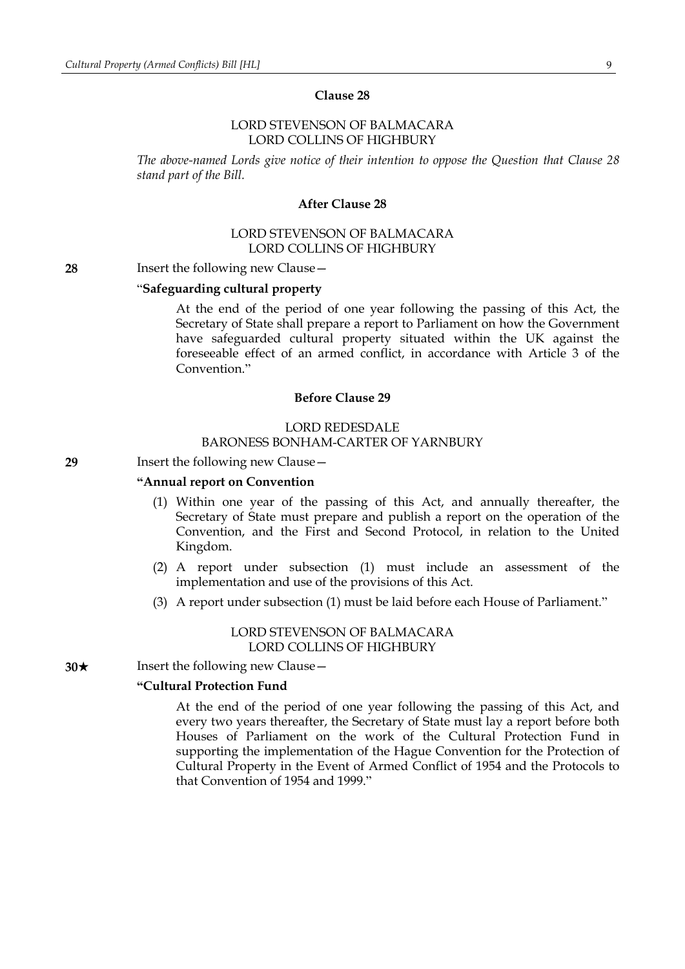### LORD STEVENSON OF BALMACARA LORD COLLINS OF HIGHBURY

*The above-named Lords give notice of their intention to oppose the Question that Clause 28 stand part of the Bill.*

#### **After Clause 28**

# LORD STEVENSON OF BALMACARA LORD COLLINS OF HIGHBURY

**28** Insert the following new Clause—

# "**Safeguarding cultural property**

At the end of the period of one year following the passing of this Act, the Secretary of State shall prepare a report to Parliament on how the Government have safeguarded cultural property situated within the UK against the foreseeable effect of an armed conflict, in accordance with Article 3 of the Convention."

# **Before Clause 29**

#### LORD REDESDALE BARONESS BONHAM-CARTER OF YARNBURY

#### **29** Insert the following new Clause—

#### **"Annual report on Convention**

- (1) Within one year of the passing of this Act, and annually thereafter, the Secretary of State must prepare and publish a report on the operation of the Convention, and the First and Second Protocol, in relation to the United Kingdom.
- (2) A report under subsection (1) must include an assessment of the implementation and use of the provisions of this Act.
- (3) A report under subsection (1) must be laid before each House of Parliament."

#### LORD STEVENSON OF BALMACARA LORD COLLINS OF HIGHBURY

**30**★ Insert the following new Clause —

#### **"Cultural Protection Fund**

At the end of the period of one year following the passing of this Act, and every two years thereafter, the Secretary of State must lay a report before both Houses of Parliament on the work of the Cultural Protection Fund in supporting the implementation of the Hague Convention for the Protection of Cultural Property in the Event of Armed Conflict of 1954 and the Protocols to that Convention of 1954 and 1999."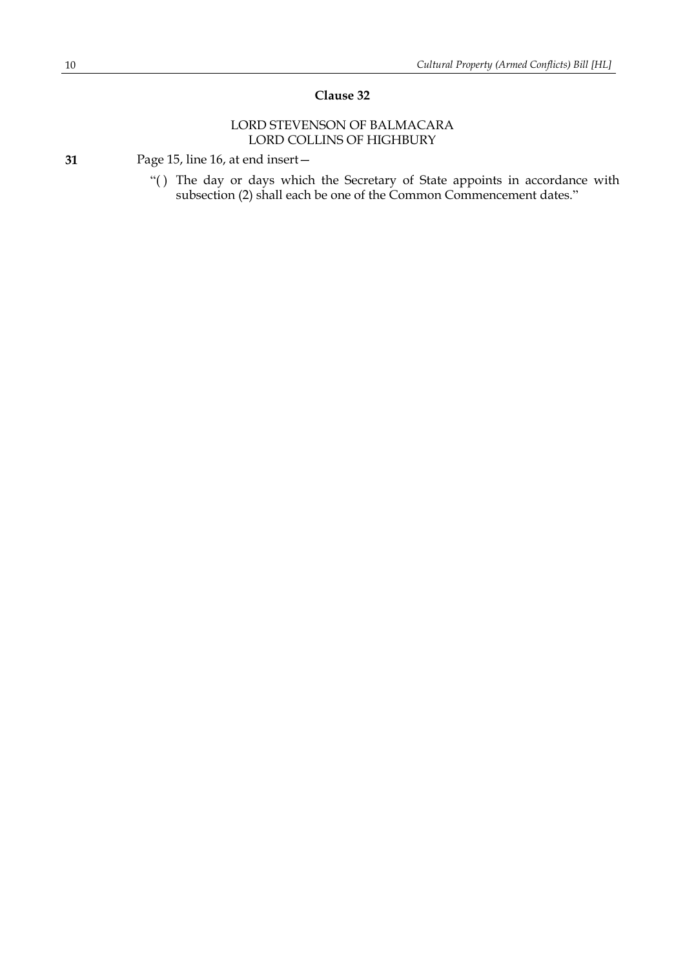# LORD STEVENSON OF BALMACARA LORD COLLINS OF HIGHBURY

**31** Page 15, line 16, at end insert—

"( ) The day or days which the Secretary of State appoints in accordance with subsection (2) shall each be one of the Common Commencement dates."